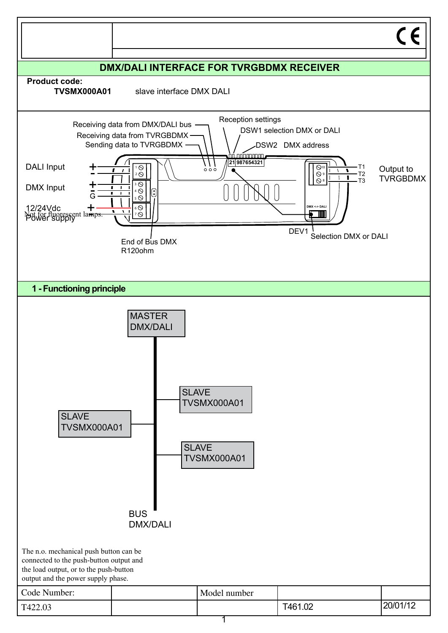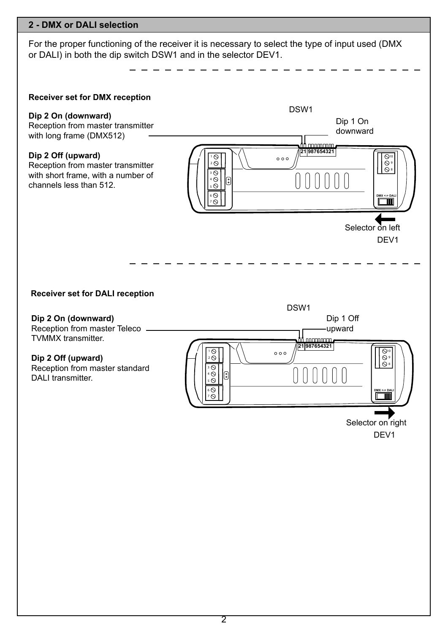## **2 - DMX or DALI selection**

For the proper functioning of the receiver it is necessary to select the type of input used (DMX or DALI) in both the dip switch DSW1 and in the selector DEV1.